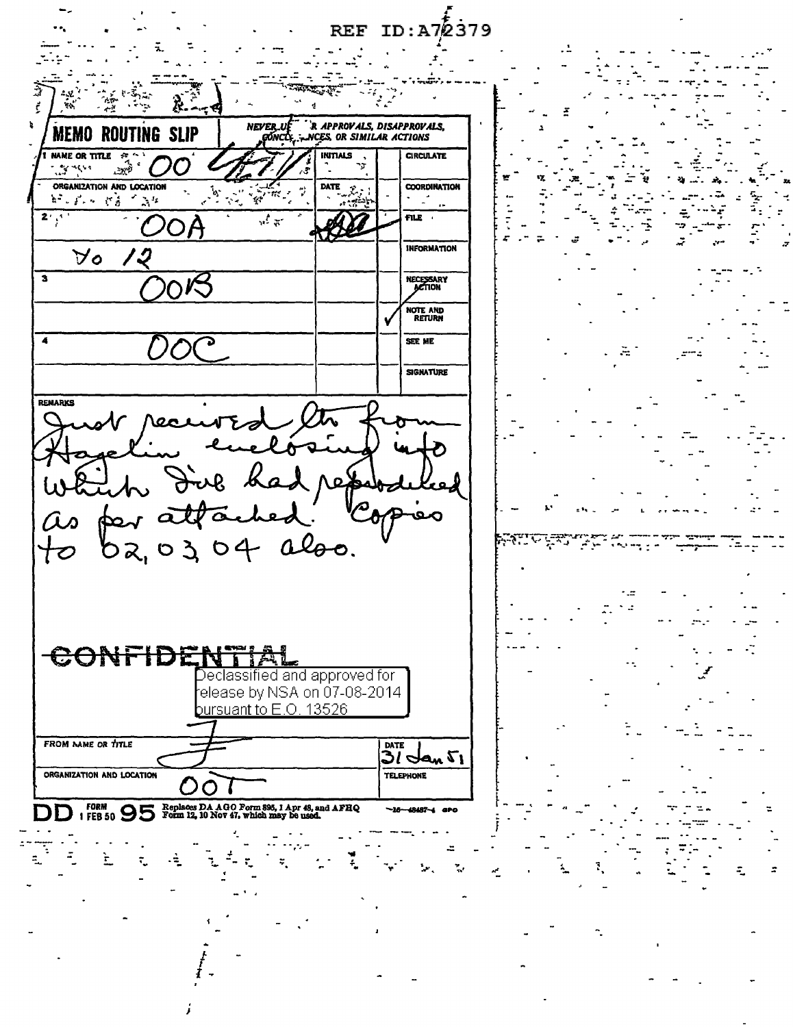$ID: A72379$ **REF** R APPROVALS, DISAPPROVALS, NEVER\_U **MEMO ROUTING SLIP** NCES, OR SIMILAR ACTIONS gŏNCl NAME OR TITLE **CIRCULATE INTIALS** 포 .<br>යැංවි  $\mathcal{L}$  , where  $\mathcal{L}$ ۰, ORGANIZATION AND LOCATION **COORDINATION DATE**  $\hat{\mathcal{P}}$ ار<br>م 经工作人 计等价调整  $\mathbb{R}^2$  $\mathbf{Y}$  $\overline{2^i y^i}$  $\overline{u}$  $FIL$ **INFORMATION**  $\forall o$ '2 NECESSARY<br>ACTION  $\overline{\mathbf{3}}$ NOTE AND<br>RETURN  $\overline{\bullet}$ SEE ME **SIGNATURE REMARKS** لقحعد ub had red hed: to  $\boldsymbol{a}$ 0304 also. Franc प्रमुख り2, ہے. CONFIDENT Declassified and approved for elease by NSA on 07-08-2014 bursuant to  $E.O.$  13526 FROM NAME OR TITLE DATE  $3$ l Ian  $\mathfrak{r}_1$ ORGANIZATION AND LOCATION **TELEPHONE** FORM 1 FEB 50 95 Form 12, 10 Nov 47, which may be used. 48487~4 -16